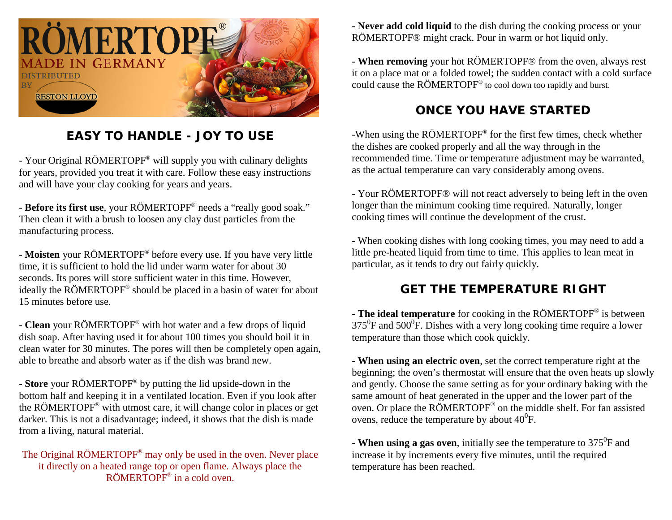

## **EASY TO HANDLE - JOY TO USE**

- Your Original RÖMERTOPF® will supply you with culinary delights for years, provided you treat it with care. Follow these easy instructions and will have your clay cooking for years and years.

- **Before its first use**, your RÖMERTOPF® needs a "really good soak." Then clean it with a brush to loosen any clay dust particles from the manufacturing process.

- **Moisten** your RÖMERTOPF® before every use. If you have very little time, it is sufficient to hold the lid under warm water for about 30 seconds. Its pores will store sufficient water in this time. However, ideally the RÖMERTOPF® should be placed in a basin of water for about 15 minutes before use.

- **Clean** your RÖMERTOPF® with hot water and a few drops of liquid dish soap. After having used it for about 100 times you should boil it in clean water for 30 minutes. The pores will then be completely open again, able to breathe and absorb water as if the dish was brand new.

- **Store** your RÖMERTOPF® by putting the lid upside-down in the bottom half and keeping it in a ventilated location. Even if you look after the RÖMERTOPF® with utmost care, it will change color in places or get darker. This is not a disadvantage; indeed, it shows that the dish is made from a living, natural material.

The Original RÖMERTOPF® may only be used in the oven. Never place it directly on a heated range top or open flame. Always place the RÖMERTOPF® in a cold oven.

- **Never add cold liquid** to the dish during the cooking process or your RÖMERTOPF® might crack. Pour in warm or hot liquid only.

- **When removing** your hot RÖMERTOPF® from the oven, always rest it on a place mat or a folded towel; the sudden contact with a cold surface could cause the RÖMERTOPF® to cool down too rapidly and burst.

## **ONCE YOU HAVE STARTED**

-When using the RÖMERTOPF® for the first few times, check whether the dishes are cooked properly and all the way through in the recommended time. Time or temperature adjustment may be warranted, as the actual temperature can vary considerably among ovens.

- Your RÖMERTOPF® will not react adversely to being left in the oven longer than the minimum cooking time required. Naturally, longer cooking times will continue the development of the crust.

- When cooking dishes with long cooking times, you may need to add a little pre-heated liquid from time to time. This applies to lean meat in particular, as it tends to dry out fairly quickly.

## **GET THE TEMPERATURE RIGHT**

- **The ideal temperature** for cooking in the RÖMERTOPF® is between  $375^0$ F and  $500^0$ F. Dishes with a very long cooking time require a lower temperature than those which cook quickly.

- **When using an electric oven**, set the correct temperature right at the beginning; the oven's thermostat will ensure that the oven heats up slowly and gently. Choose the same setting as for your ordinary baking with the same amount of heat generated in the upper and the lower part of the oven. Or place the RÖMERTOPF® on the middle shelf. For fan assisted ovens, reduce the temperature by about  $40^0$ F.

- **When using a gas oven**, initially see the temperature to 375<sup>0</sup>F and increase it by increments every five minutes, until the required temperature has been reached.